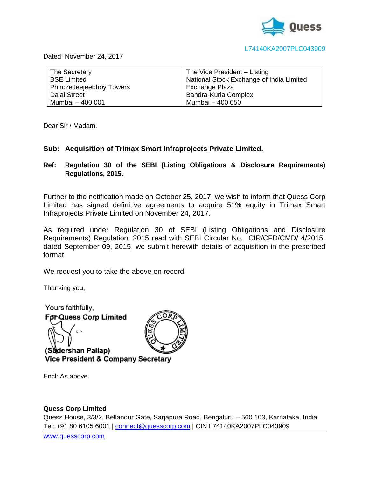

#### L74140KA2007PLC043909

Dated: November 24, 2017

| The Secretary            | The Vice President - Listing             |
|--------------------------|------------------------------------------|
| <b>BSE Limited</b>       | National Stock Exchange of India Limited |
| PhirozeJeejeebhoy Towers | Exchange Plaza                           |
| <b>Dalal Street</b>      | Bandra-Kurla Complex                     |
| Mumbai - 400 001         | Mumbai - 400 050                         |

Dear Sir / Madam,

## **Sub: Acquisition of Trimax Smart Infraprojects Private Limited.**

# **Ref: Regulation 30 of the SEBI (Listing Obligations & Disclosure Requirements) Regulations, 2015.**

Further to the notification made on October 25, 2017, we wish to inform that Quess Corp Limited has signed definitive agreements to acquire 51% equity in Trimax Smart Infraprojects Private Limited on November 24, 2017.

As required under Regulation 30 of SEBI (Listing Obligations and Disclosure Requirements) Regulation, 2015 read with SEBI Circular No. CIR/CFD/CMD/ 4/2015, dated September 09, 2015, we submit herewith details of acquisition in the prescribed format.

We request you to take the above on record.

Thanking you,

Yours faithfully, **For Quess Corp Limited** 

(Sudershan Pallap) **Vice President & Company Secretary** 

Encl: As above.

## **Quess Corp Limited**

Quess House, 3/3/2, Bellandur Gate, Sarjapura Road, Bengaluru – 560 103, Karnataka, India Tel: +91 80 6105 6001 | [connect@quesscorp.com](mailto:connect@quesscorp.com) | CIN L74140KA2007PLC043909 [www.quesscorp.com](http://www.quesscorp.com/)